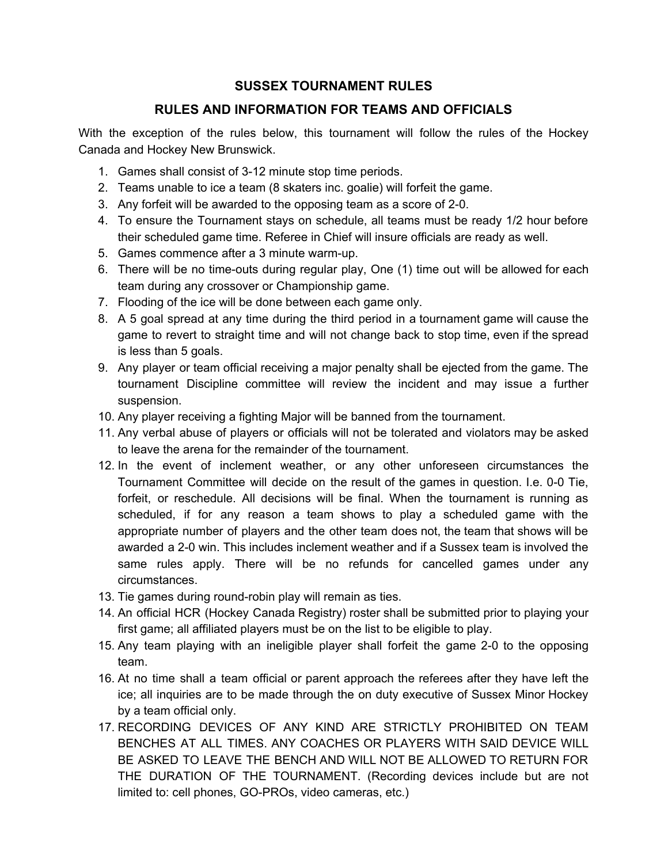## **SUSSEX TOURNAMENT RULES**

# **RULES AND INFORMATION FOR TEAMS AND OFFICIALS**

With the exception of the rules below, this tournament will follow the rules of the Hockey Canada and Hockey New Brunswick.

- 1. Games shall consist of 3-12 minute stop time periods.
- 2. Teams unable to ice a team (8 skaters inc. goalie) will forfeit the game.
- 3. Any forfeit will be awarded to the opposing team as a score of 2-0.
- 4. To ensure the Tournament stays on schedule, all teams must be ready 1/2 hour before their scheduled game time. Referee in Chief will insure officials are ready as well.
- 5. Games commence after a 3 minute warm-up.
- 6. There will be no time-outs during regular play, One (1) time out will be allowed for each team during any crossover or Championship game.
- 7. Flooding of the ice will be done between each game only.
- 8. A 5 goal spread at any time during the third period in a tournament game will cause the game to revert to straight time and will not change back to stop time, even if the spread is less than 5 goals.
- 9. Any player or team official receiving a major penalty shall be ejected from the game. The tournament Discipline committee will review the incident and may issue a further suspension.
- 10. Any player receiving a fighting Major will be banned from the tournament.
- 11. Any verbal abuse of players or officials will not be tolerated and violators may be asked to leave the arena for the remainder of the tournament.
- 12. In the event of inclement weather, or any other unforeseen circumstances the Tournament Committee will decide on the result of the games in question. I.e. 0-0 Tie, forfeit, or reschedule. All decisions will be final. When the tournament is running as scheduled, if for any reason a team shows to play a scheduled game with the appropriate number of players and the other team does not, the team that shows will be awarded a 2-0 win. This includes inclement weather and if a Sussex team is involved the same rules apply. There will be no refunds for cancelled games under any circumstances.
- 13. Tie games during round-robin play will remain as ties.
- 14. An official HCR (Hockey Canada Registry) roster shall be submitted prior to playing your first game; all affiliated players must be on the list to be eligible to play.
- 15. Any team playing with an ineligible player shall forfeit the game 2-0 to the opposing team.
- 16. At no time shall a team official or parent approach the referees after they have left the ice; all inquiries are to be made through the on duty executive of Sussex Minor Hockey by a team official only.
- 17. RECORDING DEVICES OF ANY KIND ARE STRICTLY PROHIBITED ON TEAM BENCHES AT ALL TIMES. ANY COACHES OR PLAYERS WITH SAID DEVICE WILL BE ASKED TO LEAVE THE BENCH AND WILL NOT BE ALLOWED TO RETURN FOR THE DURATION OF THE TOURNAMENT. (Recording devices include but are not limited to: cell phones, GO-PROs, video cameras, etc.)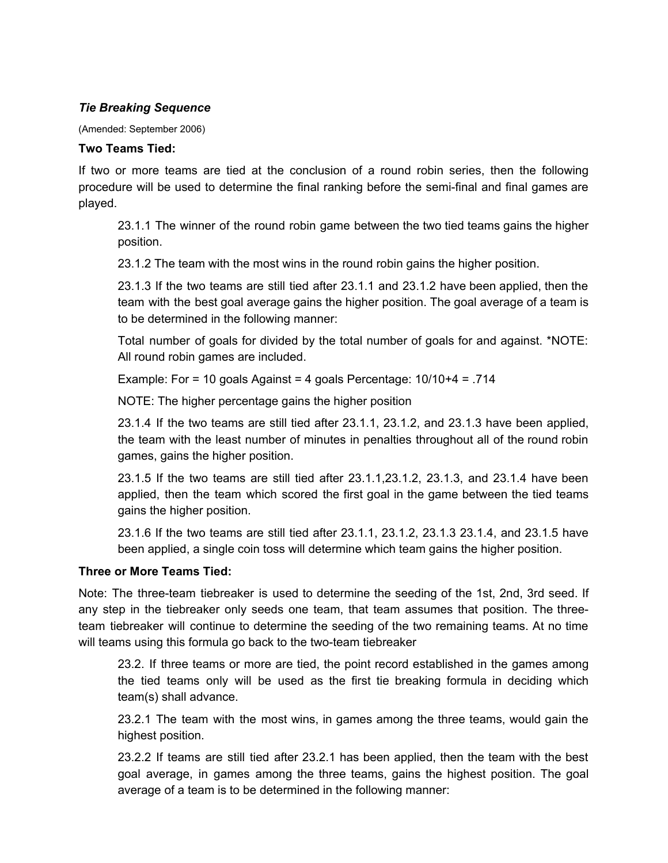## *Tie Breaking Sequence*

(Amended: September 2006)

#### **Two Teams Tied:**

If two or more teams are tied at the conclusion of a round robin series, then the following procedure will be used to determine the final ranking before the semi-final and final games are played.

23.1.1 The winner of the round robin game between the two tied teams gains the higher position.

23.1.2 The team with the most wins in the round robin gains the higher position.

23.1.3 If the two teams are still tied after 23.1.1 and 23.1.2 have been applied, then the team with the best goal average gains the higher position. The goal average of a team is to be determined in the following manner:

Total number of goals for divided by the total number of goals for and against. \*NOTE: All round robin games are included.

Example: For = 10 goals Against = 4 goals Percentage: 10/10+4 = .714

NOTE: The higher percentage gains the higher position

23.1.4 If the two teams are still tied after 23.1.1, 23.1.2, and 23.1.3 have been applied, the team with the least number of minutes in penalties throughout all of the round robin games, gains the higher position.

23.1.5 If the two teams are still tied after 23.1.1,23.1.2, 23.1.3, and 23.1.4 have been applied, then the team which scored the first goal in the game between the tied teams gains the higher position.

23.1.6 If the two teams are still tied after 23.1.1, 23.1.2, 23.1.3 23.1.4, and 23.1.5 have been applied, a single coin toss will determine which team gains the higher position.

## **Three or More Teams Tied:**

Note: The three-team tiebreaker is used to determine the seeding of the 1st, 2nd, 3rd seed. If any step in the tiebreaker only seeds one team, that team assumes that position. The threeteam tiebreaker will continue to determine the seeding of the two remaining teams. At no time will teams using this formula go back to the two-team tiebreaker

23.2. If three teams or more are tied, the point record established in the games among the tied teams only will be used as the first tie breaking formula in deciding which team(s) shall advance.

23.2.1 The team with the most wins, in games among the three teams, would gain the highest position.

23.2.2 If teams are still tied after 23.2.1 has been applied, then the team with the best goal average, in games among the three teams, gains the highest position. The goal average of a team is to be determined in the following manner: